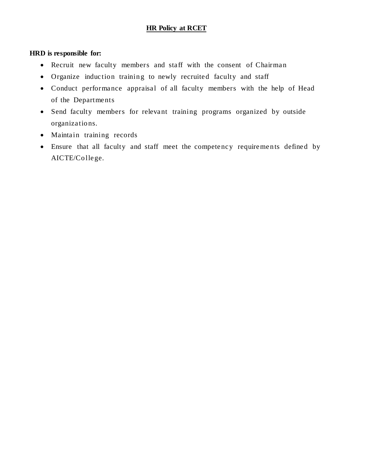# **HR Policy at RCET**

## **HRD is responsible for:**

- Recruit new faculty members and staff with the consent of Chairman
- Organize induction training to newly recruited faculty and staff
- Conduct performance appraisal of all faculty members with the help of Head of the Departments
- Send faculty members for relevant training programs organized by outside organizations.
- Maintain training records
- Ensure that all faculty and staff meet the competency requirements defined by AICTE/College.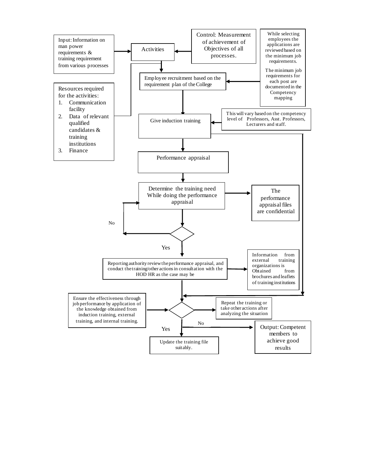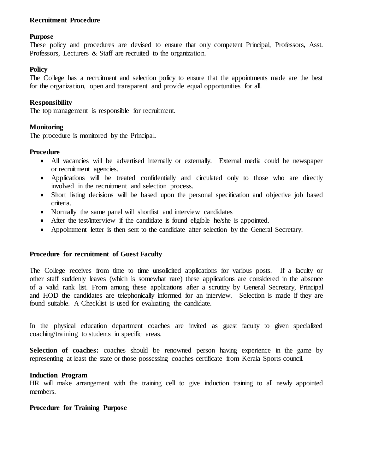## **Recruitment Procedure**

### **Purpose**

These policy and procedures are devised to ensure that only competent Principal, Professors, Asst. Professors, Lecturers & Staff are recruited to the organization.

### **Policy**

The College has a recruitment and selection policy to ensure that the appointments made are the best for the organization, open and transparent and provide equal opportunities for all.

### **Responsibility**

The top management is responsible for recruitment.

## **Monitoring**

The procedure is monitored by the Principal.

### **Procedure**

- All vacancies will be advertised internally or externally. External media could be newspaper or recruitment agencies.
- Applications will be treated confidentially and circulated only to those who are directly involved in the recruitment and selection process.
- Short listing decisions will be based upon the personal specification and objective job based criteria.
- Normally the same panel will shortlist and interview candidates
- After the test/interview if the candidate is found eligible he/she is appointed.
- Appointment letter is then sent to the candidate after selection by the General Secretary.

#### **Procedure for recruitment of Guest Faculty**

The College receives from time to time unsolicited applications for various posts. If a faculty or other staff suddenly leaves (which is somewhat rare) these applications are considered in the absence of a valid rank list. From among these applications after a scrutiny by General Secretary, Principal and HOD the candidates are telephonically informed for an interview. Selection is made if they are found suitable. A Checklist is used for evaluating the candidate.

In the physical education department coaches are invited as guest faculty to given specialized coaching/training to students in specific areas.

Selection of coaches: coaches should be renowned person having experience in the game by representing at least the state or those possessing coaches certificate from Kerala Sports council.

#### **Induction Program**

HR will make arrangement with the training cell to give induction training to all newly appointed members.

### **Procedure for Training Purpose**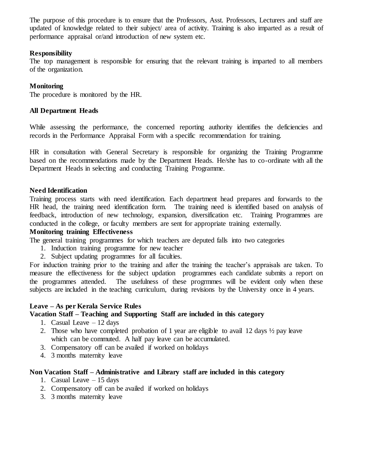The purpose of this procedure is to ensure that the Professors, Asst. Professors, Lecturers and staff are updated of knowledge related to their subject/ area of activity. Training is also imparted as a result of performance appraisal or/and introduction of new system etc.

## **Responsibility**

The top management is responsible for ensuring that the relevant training is imparted to all members of the organization.

## **Monitoring**

The procedure is monitored by the HR.

## **All Department Heads**

While assessing the performance, the concerned reporting authority identifies the deficiencies and records in the Performance Appraisal Form with a specific recommendation for training.

HR in consultation with General Secretary is responsible for organizing the Training Programme based on the recommendations made by the Department Heads. He/she has to co-ordinate with all the Department Heads in selecting and conducting Training Programme.

## **Need Identification**

Training process starts with need identification. Each department head prepares and forwards to the HR head, the training need identification form. The training need is identified based on analysis of feedback, introduction of new technology, expansion, diversification etc. Training Programmes are conducted in the college, or faculty members are sent for appropriate training externally.

## **Monitoring training Effectiveness**

The general training programmes for which teachers are deputed falls into two categories

- 1. Induction training programme for new teacher
- 2. Subject updating programmes for all faculties.

For induction training prior to the training and after the training the teacher's appraisals are taken. To measure the effectiveness for the subject updation programmes each candidate submits a report on the programmes attended. The usefulness of these progrmmes will be evident only when these subjects are included in the teaching curriculum, during revisions by the University once in 4 years.

## **Leave – As per Kerala Service Rules**

## **Vacation Staff – Teaching and Supporting Staff are included in this category**

- 1. Casual Leave  $-12$  days
- 2. Those who have completed probation of 1 year are eligible to avail 12 days ½ pay leave which can be commuted. A half pay leave can be accumulated.
- 3. Compensatory off can be availed if worked on holidays
- 4. 3 months maternity leave

## **Non Vacation Staff – Administrative and Library staff are included in this category**

- 1. Casual Leave 15 days
- 2. Compensatory off can be availed if worked on holidays
- 3. 3 months maternity leave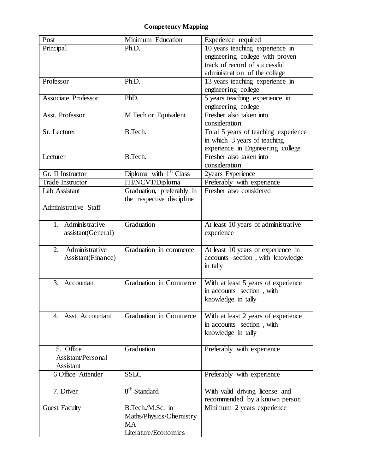# **Competency Mapping**

| 10 years teaching experience in<br>Principal<br>Ph.D.<br>engineering college with proven<br>track of record of successful<br>administration of the college<br>Professor<br>Ph.D.<br>13 years teaching experience in<br>engineering college<br>5 years teaching experience in<br><b>Associate Professor</b><br>PhD.<br>engineering college<br>Asst. Professor<br>Fresher also taken into<br>M.Tech.or Equivalent<br>consideration<br>B.Tech.<br>Total 5 years of teaching experience<br>Sr. Lecturer<br>in which 3 years of teaching<br>experience in Engineering college<br>Fresher also taken into<br>B.Tech.<br>Lecturer<br>consideration<br>Diploma with $1st$ Class<br>2years Experience<br>Gr. II Instructor<br>Preferably with experience<br>ITI/NCVT/Diploma<br><b>Trade Instructor</b><br>Fresher also considered<br>Graduation, preferably in<br>Lab Assistant<br>the respective discipline<br>Administrative Staff<br>Administrative<br>Graduation<br>At least 10 years of administrative<br>1.<br>experience<br>assistant(General)<br>Administrative<br>Graduation in commerce<br>At least 10 years of experience in<br>2.<br>Assistant(Finance)<br>accounts section, with knowledge<br>in tally<br>Graduation in Commerce<br>With at least 5 years of experience<br>3.<br>Accountant<br>in accounts section, with<br>knowledge in tally<br>Graduation in Commerce<br>With at least 2 years of experience<br>4. Asst. Accountant<br>in accounts section, with<br>knowledge in tally<br>5. Office<br>Graduation<br>Preferably with experience<br>Assistant/Personal<br><b>Assistant</b><br><b>SSLC</b><br>6 Office Attender<br>Preferably with experience<br>8 <sup>th</sup> Standard<br>7. Driver<br>With valid driving license and<br>recommended by a known person<br>B.Tech./M.Sc. in<br>Minimum 2 years experience<br><b>Guest Faculty</b><br>Maths/Physics/Chemistry<br><b>MA</b><br>Literature/Economics | Post | Minimum Education | Experience required |
|---------------------------------------------------------------------------------------------------------------------------------------------------------------------------------------------------------------------------------------------------------------------------------------------------------------------------------------------------------------------------------------------------------------------------------------------------------------------------------------------------------------------------------------------------------------------------------------------------------------------------------------------------------------------------------------------------------------------------------------------------------------------------------------------------------------------------------------------------------------------------------------------------------------------------------------------------------------------------------------------------------------------------------------------------------------------------------------------------------------------------------------------------------------------------------------------------------------------------------------------------------------------------------------------------------------------------------------------------------------------------------------------------------------------------------------------------------------------------------------------------------------------------------------------------------------------------------------------------------------------------------------------------------------------------------------------------------------------------------------------------------------------------------------------------------------------------------------------------------------------------------------------------------------------------|------|-------------------|---------------------|
|                                                                                                                                                                                                                                                                                                                                                                                                                                                                                                                                                                                                                                                                                                                                                                                                                                                                                                                                                                                                                                                                                                                                                                                                                                                                                                                                                                                                                                                                                                                                                                                                                                                                                                                                                                                                                                                                                                                           |      |                   |                     |
|                                                                                                                                                                                                                                                                                                                                                                                                                                                                                                                                                                                                                                                                                                                                                                                                                                                                                                                                                                                                                                                                                                                                                                                                                                                                                                                                                                                                                                                                                                                                                                                                                                                                                                                                                                                                                                                                                                                           |      |                   |                     |
|                                                                                                                                                                                                                                                                                                                                                                                                                                                                                                                                                                                                                                                                                                                                                                                                                                                                                                                                                                                                                                                                                                                                                                                                                                                                                                                                                                                                                                                                                                                                                                                                                                                                                                                                                                                                                                                                                                                           |      |                   |                     |
|                                                                                                                                                                                                                                                                                                                                                                                                                                                                                                                                                                                                                                                                                                                                                                                                                                                                                                                                                                                                                                                                                                                                                                                                                                                                                                                                                                                                                                                                                                                                                                                                                                                                                                                                                                                                                                                                                                                           |      |                   |                     |
|                                                                                                                                                                                                                                                                                                                                                                                                                                                                                                                                                                                                                                                                                                                                                                                                                                                                                                                                                                                                                                                                                                                                                                                                                                                                                                                                                                                                                                                                                                                                                                                                                                                                                                                                                                                                                                                                                                                           |      |                   |                     |
|                                                                                                                                                                                                                                                                                                                                                                                                                                                                                                                                                                                                                                                                                                                                                                                                                                                                                                                                                                                                                                                                                                                                                                                                                                                                                                                                                                                                                                                                                                                                                                                                                                                                                                                                                                                                                                                                                                                           |      |                   |                     |
|                                                                                                                                                                                                                                                                                                                                                                                                                                                                                                                                                                                                                                                                                                                                                                                                                                                                                                                                                                                                                                                                                                                                                                                                                                                                                                                                                                                                                                                                                                                                                                                                                                                                                                                                                                                                                                                                                                                           |      |                   |                     |
|                                                                                                                                                                                                                                                                                                                                                                                                                                                                                                                                                                                                                                                                                                                                                                                                                                                                                                                                                                                                                                                                                                                                                                                                                                                                                                                                                                                                                                                                                                                                                                                                                                                                                                                                                                                                                                                                                                                           |      |                   |                     |
|                                                                                                                                                                                                                                                                                                                                                                                                                                                                                                                                                                                                                                                                                                                                                                                                                                                                                                                                                                                                                                                                                                                                                                                                                                                                                                                                                                                                                                                                                                                                                                                                                                                                                                                                                                                                                                                                                                                           |      |                   |                     |
|                                                                                                                                                                                                                                                                                                                                                                                                                                                                                                                                                                                                                                                                                                                                                                                                                                                                                                                                                                                                                                                                                                                                                                                                                                                                                                                                                                                                                                                                                                                                                                                                                                                                                                                                                                                                                                                                                                                           |      |                   |                     |
|                                                                                                                                                                                                                                                                                                                                                                                                                                                                                                                                                                                                                                                                                                                                                                                                                                                                                                                                                                                                                                                                                                                                                                                                                                                                                                                                                                                                                                                                                                                                                                                                                                                                                                                                                                                                                                                                                                                           |      |                   |                     |
|                                                                                                                                                                                                                                                                                                                                                                                                                                                                                                                                                                                                                                                                                                                                                                                                                                                                                                                                                                                                                                                                                                                                                                                                                                                                                                                                                                                                                                                                                                                                                                                                                                                                                                                                                                                                                                                                                                                           |      |                   |                     |
|                                                                                                                                                                                                                                                                                                                                                                                                                                                                                                                                                                                                                                                                                                                                                                                                                                                                                                                                                                                                                                                                                                                                                                                                                                                                                                                                                                                                                                                                                                                                                                                                                                                                                                                                                                                                                                                                                                                           |      |                   |                     |
|                                                                                                                                                                                                                                                                                                                                                                                                                                                                                                                                                                                                                                                                                                                                                                                                                                                                                                                                                                                                                                                                                                                                                                                                                                                                                                                                                                                                                                                                                                                                                                                                                                                                                                                                                                                                                                                                                                                           |      |                   |                     |
|                                                                                                                                                                                                                                                                                                                                                                                                                                                                                                                                                                                                                                                                                                                                                                                                                                                                                                                                                                                                                                                                                                                                                                                                                                                                                                                                                                                                                                                                                                                                                                                                                                                                                                                                                                                                                                                                                                                           |      |                   |                     |
|                                                                                                                                                                                                                                                                                                                                                                                                                                                                                                                                                                                                                                                                                                                                                                                                                                                                                                                                                                                                                                                                                                                                                                                                                                                                                                                                                                                                                                                                                                                                                                                                                                                                                                                                                                                                                                                                                                                           |      |                   |                     |
|                                                                                                                                                                                                                                                                                                                                                                                                                                                                                                                                                                                                                                                                                                                                                                                                                                                                                                                                                                                                                                                                                                                                                                                                                                                                                                                                                                                                                                                                                                                                                                                                                                                                                                                                                                                                                                                                                                                           |      |                   |                     |
|                                                                                                                                                                                                                                                                                                                                                                                                                                                                                                                                                                                                                                                                                                                                                                                                                                                                                                                                                                                                                                                                                                                                                                                                                                                                                                                                                                                                                                                                                                                                                                                                                                                                                                                                                                                                                                                                                                                           |      |                   |                     |
|                                                                                                                                                                                                                                                                                                                                                                                                                                                                                                                                                                                                                                                                                                                                                                                                                                                                                                                                                                                                                                                                                                                                                                                                                                                                                                                                                                                                                                                                                                                                                                                                                                                                                                                                                                                                                                                                                                                           |      |                   |                     |
|                                                                                                                                                                                                                                                                                                                                                                                                                                                                                                                                                                                                                                                                                                                                                                                                                                                                                                                                                                                                                                                                                                                                                                                                                                                                                                                                                                                                                                                                                                                                                                                                                                                                                                                                                                                                                                                                                                                           |      |                   |                     |
|                                                                                                                                                                                                                                                                                                                                                                                                                                                                                                                                                                                                                                                                                                                                                                                                                                                                                                                                                                                                                                                                                                                                                                                                                                                                                                                                                                                                                                                                                                                                                                                                                                                                                                                                                                                                                                                                                                                           |      |                   |                     |
|                                                                                                                                                                                                                                                                                                                                                                                                                                                                                                                                                                                                                                                                                                                                                                                                                                                                                                                                                                                                                                                                                                                                                                                                                                                                                                                                                                                                                                                                                                                                                                                                                                                                                                                                                                                                                                                                                                                           |      |                   |                     |
|                                                                                                                                                                                                                                                                                                                                                                                                                                                                                                                                                                                                                                                                                                                                                                                                                                                                                                                                                                                                                                                                                                                                                                                                                                                                                                                                                                                                                                                                                                                                                                                                                                                                                                                                                                                                                                                                                                                           |      |                   |                     |
|                                                                                                                                                                                                                                                                                                                                                                                                                                                                                                                                                                                                                                                                                                                                                                                                                                                                                                                                                                                                                                                                                                                                                                                                                                                                                                                                                                                                                                                                                                                                                                                                                                                                                                                                                                                                                                                                                                                           |      |                   |                     |
|                                                                                                                                                                                                                                                                                                                                                                                                                                                                                                                                                                                                                                                                                                                                                                                                                                                                                                                                                                                                                                                                                                                                                                                                                                                                                                                                                                                                                                                                                                                                                                                                                                                                                                                                                                                                                                                                                                                           |      |                   |                     |
|                                                                                                                                                                                                                                                                                                                                                                                                                                                                                                                                                                                                                                                                                                                                                                                                                                                                                                                                                                                                                                                                                                                                                                                                                                                                                                                                                                                                                                                                                                                                                                                                                                                                                                                                                                                                                                                                                                                           |      |                   |                     |
|                                                                                                                                                                                                                                                                                                                                                                                                                                                                                                                                                                                                                                                                                                                                                                                                                                                                                                                                                                                                                                                                                                                                                                                                                                                                                                                                                                                                                                                                                                                                                                                                                                                                                                                                                                                                                                                                                                                           |      |                   |                     |
|                                                                                                                                                                                                                                                                                                                                                                                                                                                                                                                                                                                                                                                                                                                                                                                                                                                                                                                                                                                                                                                                                                                                                                                                                                                                                                                                                                                                                                                                                                                                                                                                                                                                                                                                                                                                                                                                                                                           |      |                   |                     |
|                                                                                                                                                                                                                                                                                                                                                                                                                                                                                                                                                                                                                                                                                                                                                                                                                                                                                                                                                                                                                                                                                                                                                                                                                                                                                                                                                                                                                                                                                                                                                                                                                                                                                                                                                                                                                                                                                                                           |      |                   |                     |
|                                                                                                                                                                                                                                                                                                                                                                                                                                                                                                                                                                                                                                                                                                                                                                                                                                                                                                                                                                                                                                                                                                                                                                                                                                                                                                                                                                                                                                                                                                                                                                                                                                                                                                                                                                                                                                                                                                                           |      |                   |                     |
|                                                                                                                                                                                                                                                                                                                                                                                                                                                                                                                                                                                                                                                                                                                                                                                                                                                                                                                                                                                                                                                                                                                                                                                                                                                                                                                                                                                                                                                                                                                                                                                                                                                                                                                                                                                                                                                                                                                           |      |                   |                     |
|                                                                                                                                                                                                                                                                                                                                                                                                                                                                                                                                                                                                                                                                                                                                                                                                                                                                                                                                                                                                                                                                                                                                                                                                                                                                                                                                                                                                                                                                                                                                                                                                                                                                                                                                                                                                                                                                                                                           |      |                   |                     |
|                                                                                                                                                                                                                                                                                                                                                                                                                                                                                                                                                                                                                                                                                                                                                                                                                                                                                                                                                                                                                                                                                                                                                                                                                                                                                                                                                                                                                                                                                                                                                                                                                                                                                                                                                                                                                                                                                                                           |      |                   |                     |
|                                                                                                                                                                                                                                                                                                                                                                                                                                                                                                                                                                                                                                                                                                                                                                                                                                                                                                                                                                                                                                                                                                                                                                                                                                                                                                                                                                                                                                                                                                                                                                                                                                                                                                                                                                                                                                                                                                                           |      |                   |                     |
|                                                                                                                                                                                                                                                                                                                                                                                                                                                                                                                                                                                                                                                                                                                                                                                                                                                                                                                                                                                                                                                                                                                                                                                                                                                                                                                                                                                                                                                                                                                                                                                                                                                                                                                                                                                                                                                                                                                           |      |                   |                     |
|                                                                                                                                                                                                                                                                                                                                                                                                                                                                                                                                                                                                                                                                                                                                                                                                                                                                                                                                                                                                                                                                                                                                                                                                                                                                                                                                                                                                                                                                                                                                                                                                                                                                                                                                                                                                                                                                                                                           |      |                   |                     |
|                                                                                                                                                                                                                                                                                                                                                                                                                                                                                                                                                                                                                                                                                                                                                                                                                                                                                                                                                                                                                                                                                                                                                                                                                                                                                                                                                                                                                                                                                                                                                                                                                                                                                                                                                                                                                                                                                                                           |      |                   |                     |
|                                                                                                                                                                                                                                                                                                                                                                                                                                                                                                                                                                                                                                                                                                                                                                                                                                                                                                                                                                                                                                                                                                                                                                                                                                                                                                                                                                                                                                                                                                                                                                                                                                                                                                                                                                                                                                                                                                                           |      |                   |                     |
|                                                                                                                                                                                                                                                                                                                                                                                                                                                                                                                                                                                                                                                                                                                                                                                                                                                                                                                                                                                                                                                                                                                                                                                                                                                                                                                                                                                                                                                                                                                                                                                                                                                                                                                                                                                                                                                                                                                           |      |                   |                     |
|                                                                                                                                                                                                                                                                                                                                                                                                                                                                                                                                                                                                                                                                                                                                                                                                                                                                                                                                                                                                                                                                                                                                                                                                                                                                                                                                                                                                                                                                                                                                                                                                                                                                                                                                                                                                                                                                                                                           |      |                   |                     |
|                                                                                                                                                                                                                                                                                                                                                                                                                                                                                                                                                                                                                                                                                                                                                                                                                                                                                                                                                                                                                                                                                                                                                                                                                                                                                                                                                                                                                                                                                                                                                                                                                                                                                                                                                                                                                                                                                                                           |      |                   |                     |
|                                                                                                                                                                                                                                                                                                                                                                                                                                                                                                                                                                                                                                                                                                                                                                                                                                                                                                                                                                                                                                                                                                                                                                                                                                                                                                                                                                                                                                                                                                                                                                                                                                                                                                                                                                                                                                                                                                                           |      |                   |                     |
|                                                                                                                                                                                                                                                                                                                                                                                                                                                                                                                                                                                                                                                                                                                                                                                                                                                                                                                                                                                                                                                                                                                                                                                                                                                                                                                                                                                                                                                                                                                                                                                                                                                                                                                                                                                                                                                                                                                           |      |                   |                     |
|                                                                                                                                                                                                                                                                                                                                                                                                                                                                                                                                                                                                                                                                                                                                                                                                                                                                                                                                                                                                                                                                                                                                                                                                                                                                                                                                                                                                                                                                                                                                                                                                                                                                                                                                                                                                                                                                                                                           |      |                   |                     |
|                                                                                                                                                                                                                                                                                                                                                                                                                                                                                                                                                                                                                                                                                                                                                                                                                                                                                                                                                                                                                                                                                                                                                                                                                                                                                                                                                                                                                                                                                                                                                                                                                                                                                                                                                                                                                                                                                                                           |      |                   |                     |
|                                                                                                                                                                                                                                                                                                                                                                                                                                                                                                                                                                                                                                                                                                                                                                                                                                                                                                                                                                                                                                                                                                                                                                                                                                                                                                                                                                                                                                                                                                                                                                                                                                                                                                                                                                                                                                                                                                                           |      |                   |                     |
|                                                                                                                                                                                                                                                                                                                                                                                                                                                                                                                                                                                                                                                                                                                                                                                                                                                                                                                                                                                                                                                                                                                                                                                                                                                                                                                                                                                                                                                                                                                                                                                                                                                                                                                                                                                                                                                                                                                           |      |                   |                     |